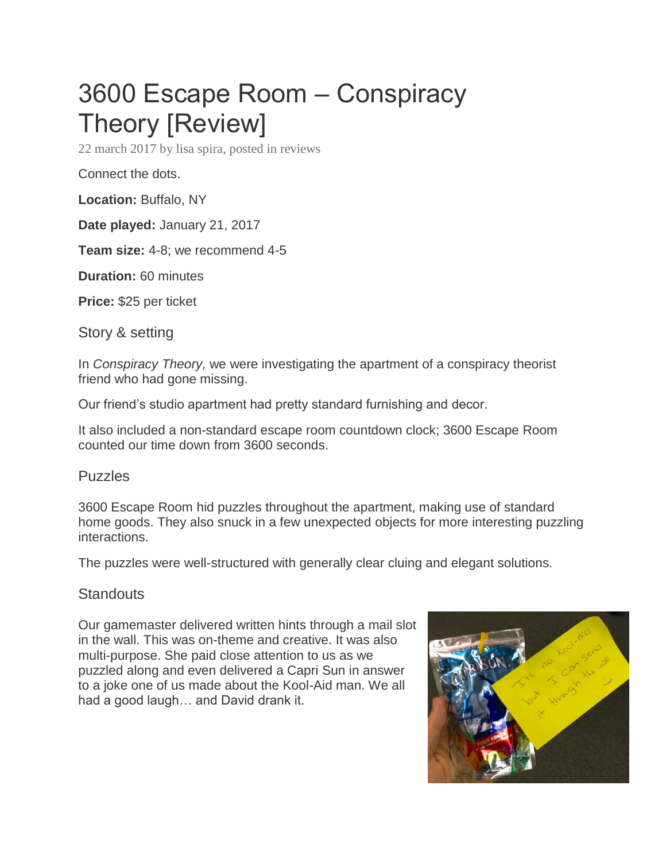## 3600 Escape Room – Conspiracy Theory [Review]

[22 march 2017](https://roomescapeartist.com/2017/03/22/3600-escape-room-conspiracy-theory-review/) by [lisa spira,](https://roomescapeartist.com/author/raddinglisa/) posted in [reviews](https://roomescapeartist.com/category/reviews/)

Connect the dots.

**Location:** Buffalo, NY

**Date played:** January 21, 2017

**Team size:** 4-8; we recommend 4-5

**Duration:** 60 minutes

**Price:** \$25 per ticket

Story & setting

In *Conspiracy Theory,* we were investigating the apartment of a conspiracy theorist friend who had gone missing.

Our friend's studio apartment had pretty standard furnishing and decor.

It also included a non-standard escape room countdown clock; 3600 Escape Room counted our time down from 3600 seconds.

## Puzzles

3600 Escape Room hid puzzles throughout the apartment, making use of standard home goods. They also snuck in a few unexpected objects for more interesting puzzling interactions.

The puzzles were well-structured with generally clear cluing and elegant solutions.

## **Standouts**

Our gamemaster delivered written hints through a mail slot in the wall. This was on-theme and creative. It was also multi-purpose. She paid close attention to us as we puzzled along and even delivered a Capri Sun in answer to a joke one of us made about the Kool-Aid man. We all had a good laugh… and David drank it.

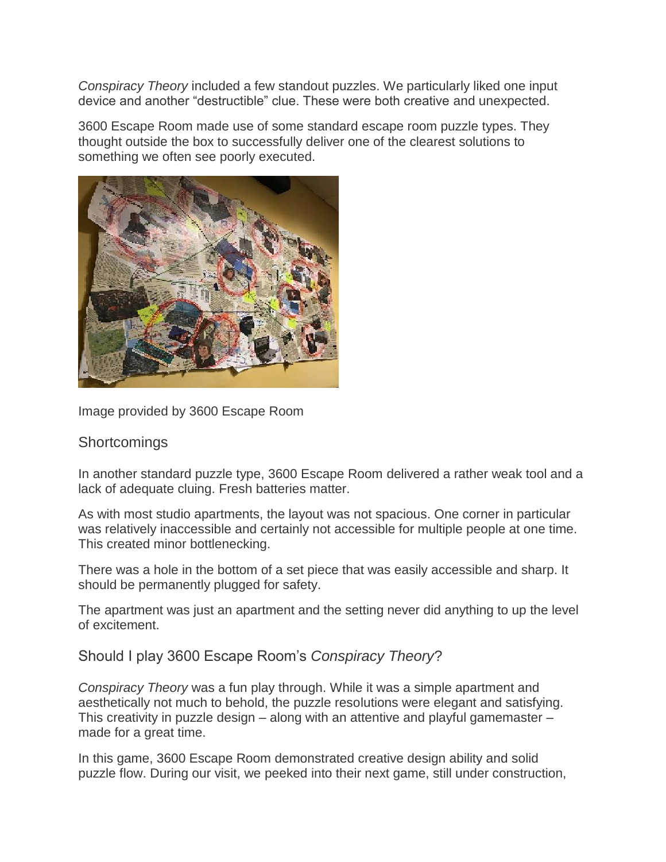*Conspiracy Theory* included a few standout puzzles. We particularly liked one input device and another "destructible" clue. These were both creative and unexpected.

3600 Escape Room made use of some standard escape room puzzle types. They thought outside the box to successfully deliver one of the clearest solutions to something we often see poorly executed.



Image provided by 3600 Escape Room

## **Shortcomings**

In another standard puzzle type, 3600 Escape Room delivered a rather weak tool and a lack of adequate cluing. Fresh batteries matter.

As with most studio apartments, the layout was not spacious. One corner in particular was relatively inaccessible and certainly not accessible for multiple people at one time. This created minor bottlenecking.

There was a hole in the bottom of a set piece that was easily accessible and sharp. It should be permanently plugged for safety.

The apartment was just an apartment and the setting never did anything to up the level of excitement.

Should I play 3600 Escape Room's *Conspiracy Theory*?

*Conspiracy Theory* was a fun play through. While it was a simple apartment and aesthetically not much to behold, the puzzle resolutions were elegant and satisfying. This creativity in puzzle design – along with an attentive and playful gamemaster – made for a great time.

In this game, 3600 Escape Room demonstrated creative design ability and solid puzzle flow. During our visit, we peeked into their next game, still under construction,